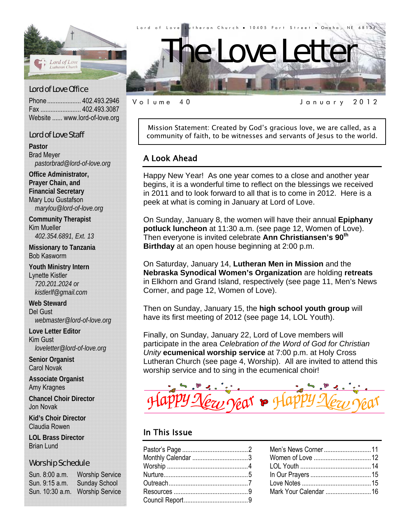

## Lord of Love Office

Phone .................... 402.493.2946 Fax ........................ 402.493.3087 Website ...... www.lord-of-love.org

# Lord of Love Staff

**Pastor**  Brad Meyer *pastorbrad@lord-of-love.org* 

**Office Administrator, Prayer Chain, and Financial Secretary**  Mary Lou Gustafson *marylou@lord-of-love.org* 

**Community Therapist**  Kim Mueller *402.354.6891, Ext. 13* 

**Missionary to Tanzania**  Bob Kasworm

**Youth Ministry Intern**  Lynette Kistler *720.201.2024 or kistlerlf@gmail.com* 

**Web Steward**  Del Gust *webmaster@lord-of-love.org* 

**Love Letter Editor**  Kim Gust *loveletter@lord-of-love.org* 

**Senior Organist**  Carol Novak

**Associate Organist**  Amy Kragnes

**Chancel Choir Director**  Jon Novak

**Kid's Choir Director**  Claudia Rowen

**LOL Brass Director**  Brian Lund

# Worship Schedule

Sun. 8:00 a.m. Worship Service Sun. 9:15 a.m. Sunday School Sun. 10:30 a.m. Worship Service



Volume 40 January 2012

Mission Statement: Created by God's gracious love, we are called, as a community of faith, to be witnesses and servants of Jesus to the world.

# A Look Ahead

Happy New Year! As one year comes to a close and another year begins, it is a wonderful time to reflect on the blessings we received in 2011 and to look forward to all that is to come in 2012. Here is a peek at what is coming in January at Lord of Love.

On Sunday, January 8, the women will have their annual **Epiphany potluck luncheon** at 11:30 a.m. (see page 12, Women of Love). Then everyone is invited celebrate **Ann Christiansen's 90th Birthday** at an open house beginning at 2:00 p.m.

On Saturday, January 14, **Lutheran Men in Mission** and the **Nebraska Synodical Women's Organization** are holding **retreats** in Elkhorn and Grand Island, respectively (see page 11, Men's News Corner, and page 12, Women of Love).

Then on Sunday, January 15, the **high school youth group** will have its first meeting of 2012 (see page 14, LOL Youth).

Finally, on Sunday, January 22, Lord of Love members will participate in the area *Celebration of the Word of God for Christian Unity* **ecumenical worship service** at 7:00 p.m. at Holy Cross Lutheran Church (see page 4, Worship). All are invited to attend this worship service and to sing in the ecumenical choir!

# In This Issue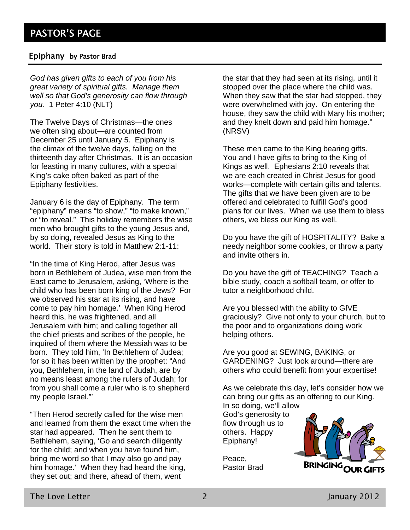# Epiphany by Pastor Brad

*God has given gifts to each of you from his great variety of spiritual gifts. Manage them well so that God's generosity can flow through you.* 1 Peter 4:10 (NLT)

The Twelve Days of Christmas—the ones we often sing about—are counted from December 25 until January 5. Epiphany is the climax of the twelve days, falling on the thirteenth day after Christmas. It is an occasion for feasting in many cultures, with a special King's cake often baked as part of the Epiphany festivities.

January 6 is the day of Epiphany. The term "epiphany" means "to show," "to make known," or "to reveal." This holiday remembers the wise men who brought gifts to the young Jesus and, by so doing, revealed Jesus as King to the world. Their story is told in Matthew 2:1-11:

"In the time of King Herod, after Jesus was born in Bethlehem of Judea, wise men from the East came to Jerusalem, asking, 'Where is the child who has been born king of the Jews? For we observed his star at its rising, and have come to pay him homage.' When King Herod heard this, he was frightened, and all Jerusalem with him; and calling together all the chief priests and scribes of the people, he inquired of them where the Messiah was to be born. They told him, 'In Bethlehem of Judea; for so it has been written by the prophet: "And you, Bethlehem, in the land of Judah, are by no means least among the rulers of Judah; for from you shall come a ruler who is to shepherd my people Israel."'

"Then Herod secretly called for the wise men and learned from them the exact time when the star had appeared. Then he sent them to Bethlehem, saying, 'Go and search diligently for the child; and when you have found him, bring me word so that I may also go and pay him homage.' When they had heard the king, they set out; and there, ahead of them, went

the star that they had seen at its rising, until it stopped over the place where the child was. When they saw that the star had stopped, they were overwhelmed with joy. On entering the house, they saw the child with Mary his mother; and they knelt down and paid him homage." (NRSV)

These men came to the King bearing gifts. You and I have gifts to bring to the King of Kings as well. Ephesians 2:10 reveals that we are each created in Christ Jesus for good works—complete with certain gifts and talents. The gifts that we have been given are to be offered and celebrated to fulfill God's good plans for our lives. When we use them to bless others, we bless our King as well.

Do you have the gift of HOSPITALITY? Bake a needy neighbor some cookies, or throw a party and invite others in.

Do you have the gift of TEACHING? Teach a bible study, coach a softball team, or offer to tutor a neighborhood child.

Are you blessed with the ability to GIVE graciously? Give not only to your church, but to the poor and to organizations doing work helping others.

Are you good at SEWING, BAKING, or GARDENING? Just look around—there are others who could benefit from your expertise!

As we celebrate this day, let's consider how we can bring our gifts as an offering to our King. In so doing, we'll allow

God's generosity to flow through us to others. Happy Epiphany!



Peace, Pastor Brad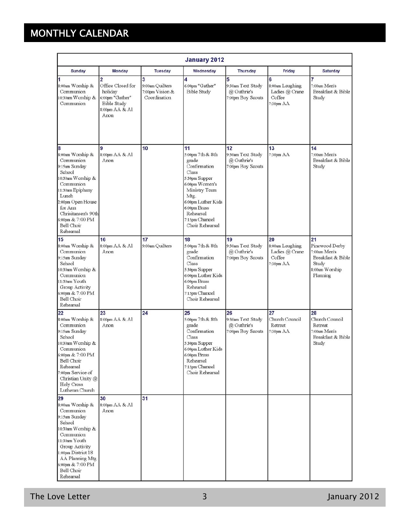# MONTHLY CALENDAR

| <b>January 2012</b>                                                                                                                                                                                                                 |                                                                                                                   |                                                         |                                                                                                                                                                                                              |                                                             |                                                                |                                                                                                  |
|-------------------------------------------------------------------------------------------------------------------------------------------------------------------------------------------------------------------------------------|-------------------------------------------------------------------------------------------------------------------|---------------------------------------------------------|--------------------------------------------------------------------------------------------------------------------------------------------------------------------------------------------------------------|-------------------------------------------------------------|----------------------------------------------------------------|--------------------------------------------------------------------------------------------------|
| <b>Sunday</b>                                                                                                                                                                                                                       | <b>Monday</b>                                                                                                     | <b>Tuesday</b>                                          | Wednesday                                                                                                                                                                                                    | <b>Thursday</b>                                             | Friday                                                         | <b>Saturday</b>                                                                                  |
| 8:00am Worship &<br>Communion<br>10:30am Worship &<br>Communion                                                                                                                                                                     | $\overline{2}$<br>Office Closed for<br>holiday<br>6:00pm "Gather"<br><b>Bible Study</b><br>8:00pm AA & Al<br>Anon | 3<br>9:00am Quilters<br>7:00pm Vision &<br>Coordination | 4<br>6:00pm "Gather"<br><b>Bible Study</b>                                                                                                                                                                   | 5<br>9:30am Text Study<br>@ Guthrie's<br>7:00pm Boy Scouts  | 6<br>8:00am Laughing<br>Ladies @ Crane<br>Coffee<br>7:30pm AA  | 7<br>7:00am Men's<br>Breakfast & Bible<br>Study                                                  |
| 18<br>8:00am Worship &<br>Communion<br>9:15am Sunday<br>School<br>10:30am Worship &<br>Communion<br>11:30am Epiphany<br>Lunch<br>2:00pm Open House<br>for Ann<br>Chrisitansen's 90th<br>6:00pm & 7:00 PM<br>Bell Choir<br>Rehearsal | 9<br>8:00pm AA & Al<br>Anon                                                                                       | 10                                                      | 11<br>5:00pm 7th & 8th<br>grade<br>Confirmation<br>Class<br>5:30pm Supper<br>6:00pm Women's<br>Ministry Team<br>Mtg.<br>6:00pm Luther Kids<br>6:00pm Brass<br>Rehearsal<br>7:15pm Chancel<br>Choir Rehearsal | 12<br>9:30am Text Study<br>@ Guthrie's<br>7:00pm Boy Scouts | 13<br>7:30pm AA                                                | 14<br>7:00am Men's<br>Breakfast & Bible<br>Study                                                 |
| 15<br>8:00am Worship &<br>Communion<br>9:15am Sunday<br>School<br>10:30am Worship &<br>Communion<br>11:30am Youth<br>Group Activity<br>6:00pm & 7:00 PM<br>Bell Choir<br>Rehearsal                                                  | 16<br>8:00pm AA & Al<br>Anon                                                                                      | 17<br>9:00am Quilters                                   | 18<br>5:00pm 7th & 8th<br>grade<br>Confirmation<br>Class<br>5:30pm Supper<br>6:00pm Luther Kids<br>6:00pm Brass<br>Rehearsal<br>7:15pm Chancel<br>Choir Rehearsal                                            | 19<br>9:30am Text Study<br>@ Guthrie's<br>7:00pm Boy Scouts | 20<br>8:00am Laughing<br>Ladies @ Crane<br>Coffee<br>7:30pm AA | 21<br>Pinewood Derby<br>7:00am Men's<br>Breakfast & Bible<br>Study<br>8:00am Worship<br>Planning |
| 22<br>8:00am Worship &<br>Communion<br>9:15am Sunday<br>School<br>10:30am Worship &<br>Communion<br>6:00pm & 7:00 PM<br>Bell Choir<br>Rehearsal<br>7:00pm Service of<br>Christian Unity @<br>Holy Cross<br>Lutheran Church          | 23<br>8:00pm AA & Al<br>Anon                                                                                      | 24                                                      | 25<br>5:00pm 7th & 8th<br>grade<br>Confirmation<br>Class<br>5:30pm Supper<br>6:00pm Luther Kids<br>6:00pm Brass<br>Rehearsal<br>7:15pm Chancel<br>Choir Rehearsal                                            | 26<br>9:30am Text Study<br>@ Guthrie's<br>7:00pm Boy Scouts | 27<br>Church Council<br>Retreat<br>7:30pm AA                   | 28<br>Church Council<br>Retreat<br>7:00am Men's<br>Breakfast & Bible<br>Study                    |
| 29<br>8:00am Worship &<br>Communion<br>9:15am Sunday<br>School<br>10:30am Worship &<br>Communion<br>11:30am Youth<br>Group Activity<br>1:00pm District 18<br>AA Planning Mtg.<br>6:00pm & 7:00 PM<br>Bell Choir<br>Rehearsal        | 30<br>8:00pm AA & Al<br>Anon                                                                                      | 31                                                      |                                                                                                                                                                                                              |                                                             |                                                                |                                                                                                  |

The Love Letter 2012 and 3 January 2012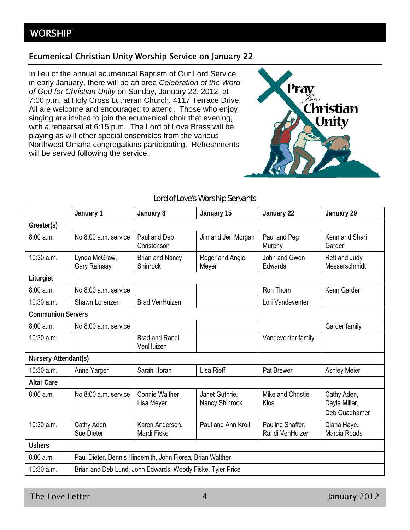# Ecumenical Christian Unity Worship Service on January 22

In lieu of the annual ecumenical Baptism of Our Lord Service in early January, there will be an area *Celebration of the Word of God for Christian Unity* on Sunday, January 22, 2012, at 7:00 p.m. at Holy Cross Lutheran Church, 4117 Terrace Drive. All are welcome and encouraged to attend. Those who enjoy singing are invited to join the ecumenical choir that evening, with a rehearsal at 6:15 p.m. The Lord of Love Brass will be playing as will other special ensembles from the various Northwest Omaha congregations participating. Refreshments will be served following the service.



|                          | January 1                                                  | January 8                          | January 15                       | January 22                          | January 29                                    |
|--------------------------|------------------------------------------------------------|------------------------------------|----------------------------------|-------------------------------------|-----------------------------------------------|
| Greeter(s)               |                                                            |                                    |                                  |                                     |                                               |
| 8:00a.m.                 | No 8:00 a.m. service                                       | Paul and Deb<br>Christenson        | Jim and Jeri Morgan              | Paul and Peg<br>Murphy              | Kenn and Shari<br>Garder                      |
| 10:30 a.m.               | Lynda McGraw,<br>Gary Ramsay                               | <b>Brian and Nancy</b><br>Shinrock | Roger and Angie<br>Meyer         | John and Gwen<br>Edwards            | Rett and Judy<br>Messerschmidt                |
| Liturgist                |                                                            |                                    |                                  |                                     |                                               |
| 8:00a.m.                 | No 8:00 a.m. service                                       |                                    |                                  | Ron Thom                            | Kenn Garder                                   |
| 10:30 a.m.               | Shawn Lorenzen                                             | <b>Brad VenHuizen</b>              |                                  | Lori Vandeventer                    |                                               |
| <b>Communion Servers</b> |                                                            |                                    |                                  |                                     |                                               |
| 8:00a.m.                 | No 8:00 a.m. service                                       |                                    |                                  |                                     | Garder family                                 |
| 10:30 a.m.               |                                                            | <b>Brad and Randi</b><br>VenHuizen |                                  | Vandeventer family                  |                                               |
| Nursery Attendant(s)     |                                                            |                                    |                                  |                                     |                                               |
| 10:30 a.m.               | Anne Yarger                                                | Sarah Horan                        | Lisa Rieff                       | Pat Brewer                          | <b>Ashley Meier</b>                           |
| <b>Altar Care</b>        |                                                            |                                    |                                  |                                     |                                               |
| 8:00 a.m.                | No 8:00 a.m. service                                       | Connie Walther,<br>Lisa Meyer      | Janet Guthrie,<br>Nancy Shinrock | Mike and Christie<br>Klos           | Cathy Aden,<br>Dayla Miller,<br>Deb Quadhamer |
| $10:30$ a.m.             | Cathy Aden,<br>Sue Dieter                                  | Karen Anderson,<br>Mardi Fiske     | Paul and Ann Kroll               | Pauline Shaffer,<br>Randi VenHuizen | Diana Haye,<br>Marcia Roads                   |
| <b>Ushers</b>            |                                                            |                                    |                                  |                                     |                                               |
| 8:00 a.m.                | Paul Dieter, Dennis Hindemith, John Florea, Brian Walther  |                                    |                                  |                                     |                                               |
| 10:30 a.m.               | Brian and Deb Lund, John Edwards, Woody Fiske, Tyler Price |                                    |                                  |                                     |                                               |

# Lord of Love's Worship Servants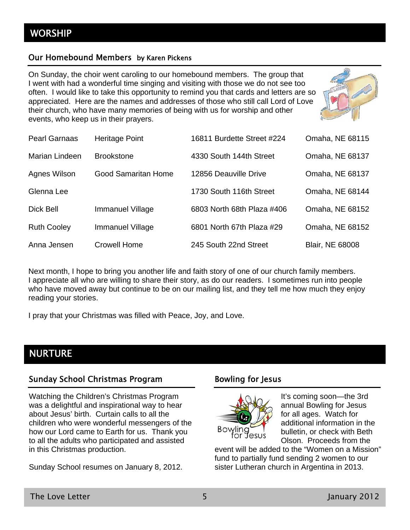# Our Homebound Members by Karen Pickens

On Sunday, the choir went caroling to our homebound members. The group that I went with had a wonderful time singing and visiting with those we do not see too often. I would like to take this opportunity to remind you that cards and letters are so appreciated. Here are the names and addresses of those who still call Lord of Love their church, who have many memories of being with us for worship and other events, who keep us in their prayers.



| <b>Pearl Garnaas</b> | Heritage Point          | 16811 Burdette Street #224 | Omaha, NE 68115        |
|----------------------|-------------------------|----------------------------|------------------------|
| Marian Lindeen       | <b>Brookstone</b>       | 4330 South 144th Street    | Omaha, NE 68137        |
| Agnes Wilson         | Good Samaritan Home     | 12856 Deauville Drive      | Omaha, NE 68137        |
| Glenna Lee           |                         | 1730 South 116th Street    | Omaha, NE 68144        |
| Dick Bell            | Immanuel Village        | 6803 North 68th Plaza #406 | Omaha, NE 68152        |
| <b>Ruth Cooley</b>   | <b>Immanuel Village</b> | 6801 North 67th Plaza #29  | Omaha, NE 68152        |
| Anna Jensen          | <b>Crowell Home</b>     | 245 South 22nd Street      | <b>Blair, NE 68008</b> |

Next month, I hope to bring you another life and faith story of one of our church family members. I appreciate all who are willing to share their story, as do our readers. I sometimes run into people who have moved away but continue to be on our mailing list, and they tell me how much they enjoy reading your stories.

I pray that your Christmas was filled with Peace, Joy, and Love.

# NURTURE

# Sunday School Christmas Program

Watching the Children's Christmas Program was a delightful and inspirational way to hear about Jesus' birth. Curtain calls to all the children who were wonderful messengers of the how our Lord came to Earth for us. Thank you to all the adults who participated and assisted in this Christmas production.

Sunday School resumes on January 8, 2012.

# Bowling for Jesus



It's coming soon—the 3rd annual Bowling for Jesus for all ages. Watch for additional information in the bulletin, or check with Beth Olson. Proceeds from the

event will be added to the "Women on a Mission" fund to partially fund sending 2 women to our sister Lutheran church in Argentina in 2013.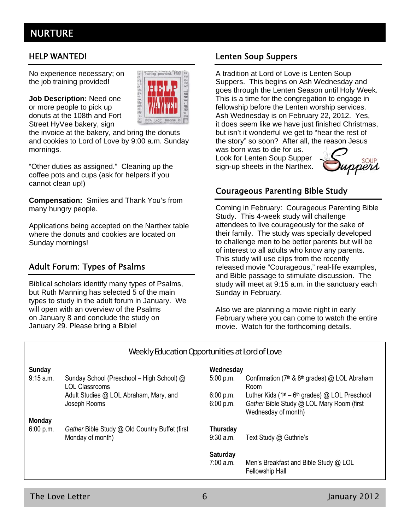# NURTURE

No experience necessary; on the job training provided!

**Job Description:** Need one or more people to pick up donuts at the 108th and Fort Street HyVee bakery, sign

the invoice at the bakery, and bring the donuts and cookies to Lord of Love by 9:00 a.m. Sunday mornings.

"Other duties as assigned." Cleaning up the coffee pots and cups (ask for helpers if you cannot clean up!)

**Compensation:** Smiles and Thank You's from many hungry people.

Applications being accepted on the Narthex table where the donuts and cookies are located on Sunday mornings!

# Adult Forum: Types of Psalms

Biblical scholars identify many types of Psalms, but Ruth Manning has selected 5 of the main types to study in the adult forum in January. We will open with an overview of the Psalms on January 8 and conclude the study on January 29. Please bring a Bible!

# HELP WANTED! Lenten Soup Suppers

A tradition at Lord of Love is Lenten Soup Suppers. This begins on Ash Wednesday and goes through the Lenten Season until Holy Week. This is a time for the congregation to engage in fellowship before the Lenten worship services. Ash Wednesday is on February 22, 2012. Yes, it does seem like we have just finished Christmas, but isn't it wonderful we get to "hear the rest of the story" so soon? After all, the reason Jesus

was born was to die for us. Look for Lenten Soup Supper sign-up sheets in the Narthex.



# Courageous Parenting Bible Study

Coming in February: Courageous Parenting Bible Study. This 4-week study will challenge attendees to live courageously for the sake of their family. The study was specially developed to challenge men to be better parents but will be of interest to all adults who know any parents. This study will use clips from the recently released movie "Courageous," real-life examples, and Bible passage to stimulate discussion. The study will meet at 9:15 a.m. in the sanctuary each Sunday in February.

Also we are planning a movie night in early February where you can come to watch the entire movie. Watch for the forthcoming details.

| Weekly Education Opportunities at Lord of Love |                                                                    |                        |                                                                                                |
|------------------------------------------------|--------------------------------------------------------------------|------------------------|------------------------------------------------------------------------------------------------|
| Sunday                                         |                                                                    | Wednesday              |                                                                                                |
| 9:15 a.m.                                      | Sunday School (Preschool - High School) @<br><b>LOL Classrooms</b> | 5:00 p.m.              | Confirmation ( $7th$ & $8th$ grades) @ LOL Abraham<br>Room                                     |
|                                                | Adult Studies @ LOL Abraham, Mary, and<br>Joseph Rooms             | 6:00 p.m.<br>6:00 p.m. | Luther Kids ( $1st - 6th$ grades) @ LOL Preschool<br>Gather Bible Study @ LOL Mary Room (first |
|                                                |                                                                    |                        | Wednesday of month)                                                                            |
| Monday                                         |                                                                    |                        |                                                                                                |
| 6:00 p.m.                                      | Gather Bible Study @ Old Country Buffet (first                     | Thursday               |                                                                                                |
|                                                | Monday of month)                                                   | $9:30$ a.m.            | Text Study @ Guthrie's                                                                         |
|                                                |                                                                    | Saturday               |                                                                                                |
|                                                |                                                                    | 7:00 a.m.              | Men's Breakfast and Bible Study @ LOL<br><b>Fellowship Hall</b>                                |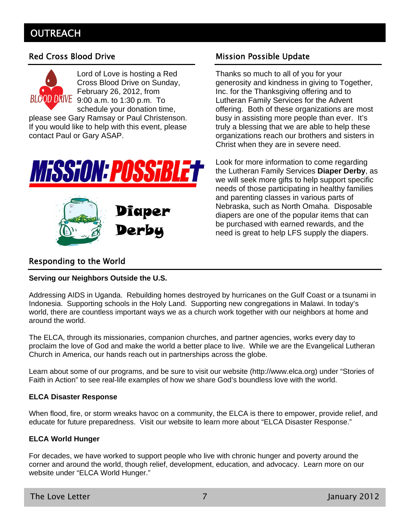# **OUTREACH**



Lord of Love is hosting a Red Cross Blood Drive on Sunday, February 26, 2012, from BLOOD DRIVE 9:00 a.m. to 1:30 p.m. To schedule your donation time,

please see Gary Ramsay or Paul Christenson. If you would like to help with this event, please contact Paul or Gary ASAP.





# Red Cross Blood Drive **Mission Possible Update**

Thanks so much to all of you for your generosity and kindness in giving to Together, Inc. for the Thanksgiving offering and to Lutheran Family Services for the Advent offering. Both of these organizations are most busy in assisting more people than ever. It's truly a blessing that we are able to help these organizations reach our brothers and sisters in Christ when they are in severe need.

Look for more information to come regarding the Lutheran Family Services **Diaper Derby**, as we will seek more gifts to help support specific needs of those participating in healthy families and parenting classes in various parts of Nebraska, such as North Omaha. Disposable diapers are one of the popular items that can be purchased with earned rewards, and the need is great to help LFS supply the diapers.

# Responding to the World

### **Serving our Neighbors Outside the U.S.**

Addressing AIDS in Uganda. Rebuilding homes destroyed by hurricanes on the Gulf Coast or a tsunami in Indonesia. Supporting schools in the Holy Land. Supporting new congregations in Malawi. In today's world, there are countless important ways we as a church work together with our neighbors at home and around the world.

The ELCA, through its missionaries, companion churches, and partner agencies, works every day to proclaim the love of God and make the world a better place to live. While we are the Evangelical Lutheran Church in America, our hands reach out in partnerships across the globe.

Learn about some of our programs, and be sure to visit our website (http://www.elca.org) under "Stories of Faith in Action" to see real-life examples of how we share God's boundless love with the world.

### **ELCA Disaster Response**

When flood, fire, or storm wreaks havoc on a community, the ELCA is there to empower, provide relief, and educate for future preparedness. Visit our website to learn more about "ELCA Disaster Response."

### **ELCA World Hunger**

For decades, we have worked to support people who live with chronic hunger and poverty around the corner and around the world, though relief, development, education, and advocacy. Learn more on our website under "ELCA World Hunger."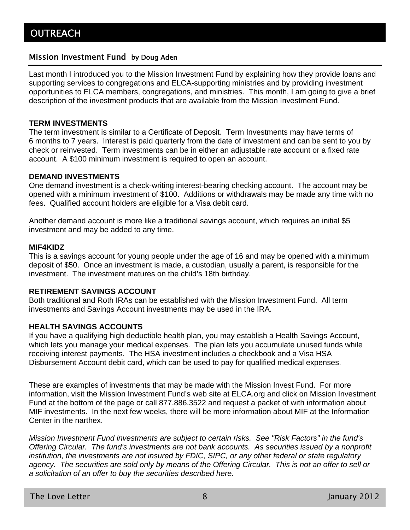# Mission Investment Fund by Doug Aden

Last month I introduced you to the Mission Investment Fund by explaining how they provide loans and supporting services to congregations and ELCA-supporting ministries and by providing investment opportunities to ELCA members, congregations, and ministries. This month, I am going to give a brief description of the investment products that are available from the Mission Investment Fund.

## **TERM INVESTMENTS**

The term investment is similar to a Certificate of Deposit. Term Investments may have terms of 6 months to 7 years. Interest is paid quarterly from the date of investment and can be sent to you by check or reinvested. Term investments can be in either an adjustable rate account or a fixed rate account. A \$100 minimum investment is required to open an account.

## **DEMAND INVESTMENTS**

One demand investment is a check-writing interest-bearing checking account. The account may be opened with a minimum investment of \$100. Additions or withdrawals may be made any time with no fees. Qualified account holders are eligible for a Visa debit card.

Another demand account is more like a traditional savings account, which requires an initial \$5 investment and may be added to any time.

### **MIF4KIDZ**

This is a savings account for young people under the age of 16 and may be opened with a minimum deposit of \$50. Once an investment is made, a custodian, usually a parent, is responsible for the investment. The investment matures on the child's 18th birthday.

# **RETIREMENT SAVINGS ACCOUNT**

Both traditional and Roth IRAs can be established with the Mission Investment Fund. All term investments and Savings Account investments may be used in the IRA.

### **HEALTH SAVINGS ACCOUNTS**

If you have a qualifying high deductible health plan, you may establish a Health Savings Account, which lets you manage your medical expenses. The plan lets you accumulate unused funds while receiving interest payments. The HSA investment includes a checkbook and a Visa HSA Disbursement Account debit card, which can be used to pay for qualified medical expenses.

These are examples of investments that may be made with the Mission Invest Fund. For more information, visit the Mission Investment Fund's web site at ELCA.org and click on Mission Investment Fund at the bottom of the page or call 877.886.3522 and request a packet of with information about MIF investments. In the next few weeks, there will be more information about MIF at the Information Center in the narthex.

*Mission Investment Fund investments are subject to certain risks. See "Risk Factors" in the fund's Offering Circular. The fund's investments are not bank accounts. As securities issued by a nonprofit institution, the investments are not insured by FDIC, SIPC, or any other federal or state regulatory agency. The securities are sold only by means of the Offering Circular. This is not an offer to sell or a solicitation of an offer to buy the securities described here.*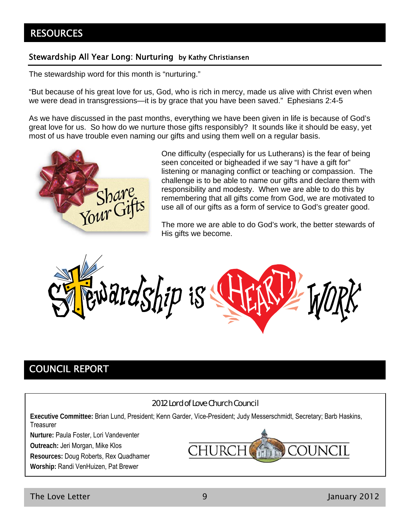# **RESOURCES**

# Stewardship All Year Long: Nurturing by Kathy Christiansen

The stewardship word for this month is "nurturing."

"But because of his great love for us, God, who is rich in mercy, made us alive with Christ even when we were dead in transgressions—it is by grace that you have been saved." Ephesians 2:4-5

As we have discussed in the past months, everything we have been given in life is because of God's great love for us. So how do we nurture those gifts responsibly? It sounds like it should be easy, yet most of us have trouble even naming our gifts and using them well on a regular basis.



One difficulty (especially for us Lutherans) is the fear of being seen conceited or bigheaded if we say "I have a gift for" listening or managing conflict or teaching or compassion. The challenge is to be able to name our gifts and declare them with responsibility and modesty. When we are able to do this by remembering that all gifts come from God, we are motivated to use all of our gifts as a form of service to God's greater good.

The more we are able to do God's work, the better stewards of His gifts we become.



# COUNCIL REPORT

# 2012 Lord of Love Church Council

**Executive Committee:** Brian Lund, President; Kenn Garder, Vice-President; Judy Messerschmidt, Secretary; Barb Haskins, **Treasurer** 

**Nurture:** Paula Foster, Lori Vandeventer

**Outreach:** Jeri Morgan, Mike Klos

**Resources:** Doug Roberts, Rex Quadhamer

**Worship:** Randi VenHuizen, Pat Brewer

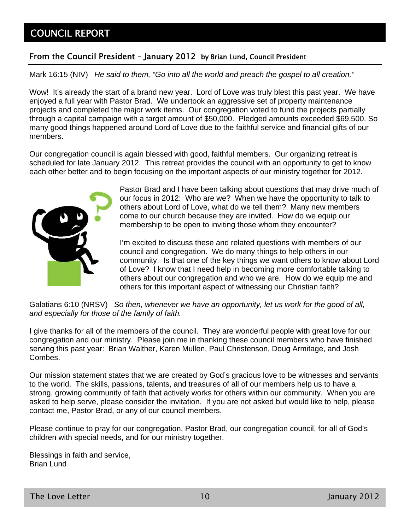# COUNCIL REPORT

# From the Council President – January 2012 by Brian Lund, Council President

Mark 16:15 (NIV) *He said to them, "Go into all the world and preach the gospel to all creation."*

Wow! It's already the start of a brand new year. Lord of Love was truly blest this past year. We have enjoyed a full year with Pastor Brad. We undertook an aggressive set of property maintenance projects and completed the major work items. Our congregation voted to fund the projects partially through a capital campaign with a target amount of \$50,000. Pledged amounts exceeded \$69,500. So many good things happened around Lord of Love due to the faithful service and financial gifts of our members.

Our congregation council is again blessed with good, faithful members. Our organizing retreat is scheduled for late January 2012. This retreat provides the council with an opportunity to get to know each other better and to begin focusing on the important aspects of our ministry together for 2012.



Pastor Brad and I have been talking about questions that may drive much of our focus in 2012: Who are we? When we have the opportunity to talk to others about Lord of Love, what do we tell them? Many new members come to our church because they are invited. How do we equip our membership to be open to inviting those whom they encounter?

I'm excited to discuss these and related questions with members of our council and congregation. We do many things to help others in our community. Is that one of the key things we want others to know about Lord of Love? I know that I need help in becoming more comfortable talking to others about our congregation and who we are. How do we equip me and others for this important aspect of witnessing our Christian faith?

Galatians 6:10 (NRSV) *So then, whenever we have an opportunity, let us work for the good of all, and especially for those of the family of faith.*

I give thanks for all of the members of the council. They are wonderful people with great love for our congregation and our ministry. Please join me in thanking these council members who have finished serving this past year: Brian Walther, Karen Mullen, Paul Christenson, Doug Armitage, and Josh Combes.

Our mission statement states that we are created by God's gracious love to be witnesses and servants to the world. The skills, passions, talents, and treasures of all of our members help us to have a strong, growing community of faith that actively works for others within our community. When you are asked to help serve, please consider the invitation. If you are not asked but would like to help, please contact me, Pastor Brad, or any of our council members.

Please continue to pray for our congregation, Pastor Brad, our congregation council, for all of God's children with special needs, and for our ministry together.

Blessings in faith and service, Brian Lund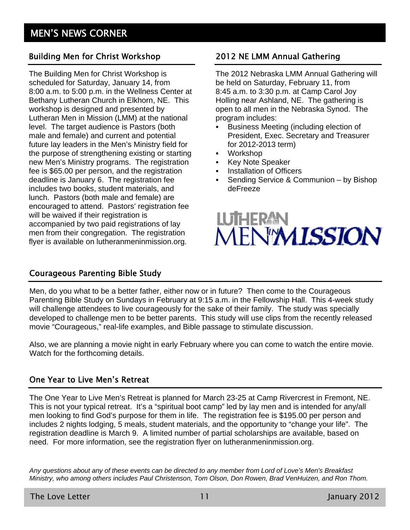# Building Men for Christ Workshop 2012 NE LMM Annual Gathering

The Building Men for Christ Workshop is scheduled for Saturday, January 14, from 8:00 a.m. to 5:00 p.m. in the Wellness Center at Bethany Lutheran Church in Elkhorn, NE. This workshop is designed and presented by Lutheran Men in Mission (LMM) at the national level. The target audience is Pastors (both male and female) and current and potential future lay leaders in the Men's Ministry field for the purpose of strengthening existing or starting new Men's Ministry programs. The registration fee is \$65.00 per person, and the registration deadline is January 6. The registration fee includes two books, student materials, and lunch. Pastors (both male and female) are encouraged to attend. Pastors' registration fee will be waived if their registration is accompanied by two paid registrations of lay men from their congregation. The registration flyer is available on lutheranmeninmission.org.

The 2012 Nebraska LMM Annual Gathering will be held on Saturday, February 11, from 8:45 a.m. to 3:30 p.m. at Camp Carol Joy Holling near Ashland, NE. The gathering is open to all men in the Nebraska Synod. The program includes:

- Business Meeting (including election of President, Exec. Secretary and Treasurer for 2012-2013 term)
- Workshop
- **Key Note Speaker**
- **Installation of Officers**
- **Sending Service & Communion by Bishop** deFreeze

# LUTHERAN<br>MENYMISSION

# Courageous Parenting Bible Study

Men, do you what to be a better father, either now or in future? Then come to the Courageous Parenting Bible Study on Sundays in February at 9:15 a.m. in the Fellowship Hall. This 4-week study will challenge attendees to live courageously for the sake of their family. The study was specially developed to challenge men to be better parents. This study will use clips from the recently released movie "Courageous," real-life examples, and Bible passage to stimulate discussion.

Also, we are planning a movie night in early February where you can come to watch the entire movie. Watch for the forthcoming details.

# One Year to Live Men's Retreat

The One Year to Live Men's Retreat is planned for March 23-25 at Camp Rivercrest in Fremont, NE. This is not your typical retreat. It's a "spiritual boot camp" led by lay men and is intended for any/all men looking to find God's purpose for them in life. The registration fee is \$195.00 per person and includes 2 nights lodging, 5 meals, student materials, and the opportunity to "change your life". The registration deadline is March 9. A limited number of partial scholarships are available, based on need. For more information, see the registration flyer on lutheranmeninmission.org.

*Any questions about any of these events can be directed to any member from Lord of Love's Men's Breakfast Ministry, who among others includes Paul Christenson, Tom Olson, Don Rowen, Brad VenHuizen, and Ron Thom.*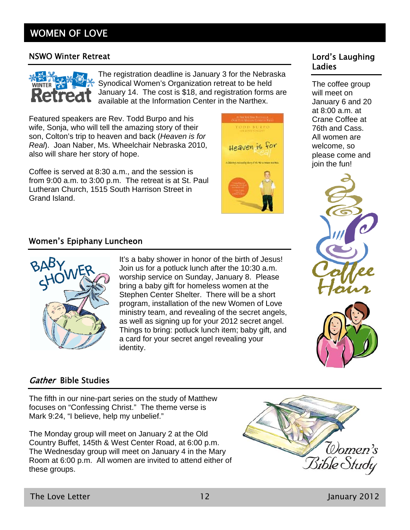# WOMEN OF LOVE

# NSWO Winter Retreat **No. 2018 Lord's Laughing**



The registration deadline is January 3 for the Nebraska Synodical Women's Organization retreat to be held January 14. The cost is \$18, and registration forms are available at the Information Center in the Narthex.

Featured speakers are Rev. Todd Burpo and his wife, Sonja, who will tell the amazing story of their son, Colton's trip to heaven and back (*Heaven is for Real*). Joan Naber, Ms. Wheelchair Nebraska 2010, also will share her story of hope.

Coffee is served at 8:30 a.m., and the session is from 9:00 a.m. to 3:00 p.m. The retreat is at St. Paul Lutheran Church, 1515 South Harrison Street in Grand Island.



# Ladies

The coffee group will meet on January 6 and 20 at 8:00 a.m. at Crane Coffee at 76th and Cass. All women are welcome, so please come and join the fun!





# Women's Epiphany Luncheon



It's a baby shower in honor of the birth of Jesus! Join us for a potluck lunch after the 10:30 a.m. worship service on Sunday, January 8. Please bring a baby gift for homeless women at the Stephen Center Shelter. There will be a short program, installation of the new Women of Love ministry team, and revealing of the secret angels, as well as signing up for your 2012 secret angel. Things to bring: potluck lunch item; baby gift, and a card for your secret angel revealing your identity.

# Gather Bible Studies

The fifth in our nine-part series on the study of Matthew focuses on "Confessing Christ." The theme verse is Mark 9:24, "I believe, help my unbelief."

The Monday group will meet on January 2 at the Old Country Buffet, 145th & West Center Road, at 6:00 p.m. The Wednesday group will meet on January 4 in the Mary Room at 6:00 p.m. All women are invited to attend either of these groups.

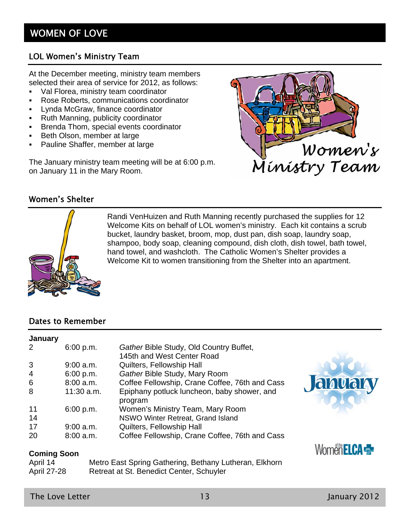# LOL Women's Ministry Team

At the December meeting, ministry team members selected their area of service for 2012, as follows:

- Val Florea, ministry team coordinator
- Rose Roberts, communications coordinator
- **EXECREY**, finance coordinator
- Ruth Manning, publicity coordinator
- **Brenda Thom, special events coordinator**
- Beth Olson, member at large
- **-** Pauline Shaffer, member at large

The January ministry team meeting will be at 6:00 p.m. on January 11 in the Mary Room.



# Women's Shelter



Randi VenHuizen and Ruth Manning recently purchased the supplies for 12 Welcome Kits on behalf of LOL women's ministry. Each kit contains a scrub bucket, laundry basket, broom, mop, dust pan, dish soap, laundry soap, shampoo, body soap, cleaning compound, dish cloth, dish towel, bath towel, hand towel, and washcloth. The Catholic Women's Shelter provides a Welcome Kit to women transitioning from the Shelter into an apartment.

# Dates to Remember

## **January**  2 6:00 p.m. *Gather* Bible Study, Old Country Buffet, 145th and West Center Road 3 9:00 a.m. Quilters, Fellowship Hall 4 6:00 p.m. *Gather* Bible Study, Mary Room 6 8:00 a.m. Coffee Fellowship, Crane Coffee, 76th and Cass 8 11:30 a.m. Epiphany potluck luncheon, baby shower, and program 11 6:00 p.m. Women's Ministry Team, Mary Room 14 NSWO Winter Retreat, Grand Island 17 9:00 a.m. Quilters, Fellowship Hall 20 8:00 a.m. Coffee Fellowship, Crane Coffee, 76th and Cass

### **Coming Soon**

| April 14    | Metro East Spring Gathering, Bethany Lutheran, Elkhorn |
|-------------|--------------------------------------------------------|
| April 27-28 | Retreat at St. Benedict Center, Schuyler               |



Women **ELCA**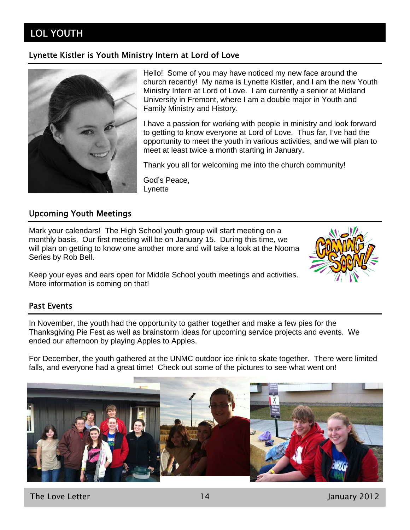# LOL YOUTH

# Lynette Kistler is Youth Ministry Intern at Lord of Love



Hello! Some of you may have noticed my new face around the church recently! My name is Lynette Kistler, and I am the new Youth Ministry Intern at Lord of Love. I am currently a senior at Midland University in Fremont, where I am a double major in Youth and Family Ministry and History.

I have a passion for working with people in ministry and look forward to getting to know everyone at Lord of Love. Thus far, I've had the opportunity to meet the youth in various activities, and we will plan to meet at least twice a month starting in January.

Thank you all for welcoming me into the church community!

God's Peace, **Lynette** 

# Upcoming Youth Meetings

Mark your calendars! The High School youth group will start meeting on a monthly basis. Our first meeting will be on January 15. During this time, we will plan on getting to know one another more and will take a look at the Nooma Series by Rob Bell.

Keep your eyes and ears open for Middle School youth meetings and activities. More information is coming on that!

# Past Events

In November, the youth had the opportunity to gather together and make a few pies for the Thanksgiving Pie Fest as well as brainstorm ideas for upcoming service projects and events. We ended our afternoon by playing Apples to Apples.

For December, the youth gathered at the UNMC outdoor ice rink to skate together. There were limited falls, and everyone had a great time! Check out some of the pictures to see what went on!



The Love Letter 14 January 2012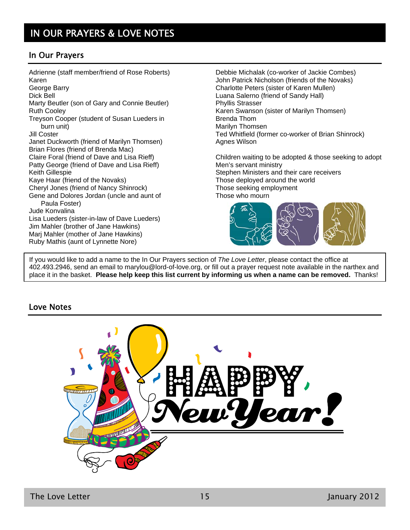# In Our Prayers

Adrienne (staff member/friend of Rose Roberts) Karen George Barry Dick Bell Marty Beutler (son of Gary and Connie Beutler) Ruth Cooley Treyson Cooper (student of Susan Lueders in burn unit) Jill Coster Janet Duckworth (friend of Marilyn Thomsen) Brian Flores (friend of Brenda Mac) Claire Foral (friend of Dave and Lisa Rieff) Patty George (friend of Dave and Lisa Rieff) Keith Gillespie Kaye Haar (friend of the Novaks) Cheryl Jones (friend of Nancy Shinrock) Gene and Dolores Jordan (uncle and aunt of Paula Foster) Jude Konvalina Lisa Lueders (sister-in-law of Dave Lueders) Jim Mahler (brother of Jane Hawkins) Marj Mahler (mother of Jane Hawkins) Ruby Mathis (aunt of Lynnette Nore)

Debbie Michalak (co-worker of Jackie Combes) John Patrick Nicholson (friends of the Novaks) Charlotte Peters (sister of Karen Mullen) Luana Salerno (friend of Sandy Hall) Phyllis Strasser Karen Swanson (sister of Marilyn Thomsen) Brenda Thom Marilyn Thomsen Ted Whitfield (former co-worker of Brian Shinrock) Agnes Wilson

Children waiting to be adopted & those seeking to adopt Men's servant ministry Stephen Ministers and their care receivers Those deployed around the world Those seeking employment Those who mourn



If you would like to add a name to the In Our Prayers section of *The Love Letter*, please contact the office at 402.493.2946, send an email to marylou@lord-of-love.org, or fill out a prayer request note available in the narthex and place it in the basket. **Please help keep this list current by informing us when a name can be removed.** Thanks!

# Love Notes